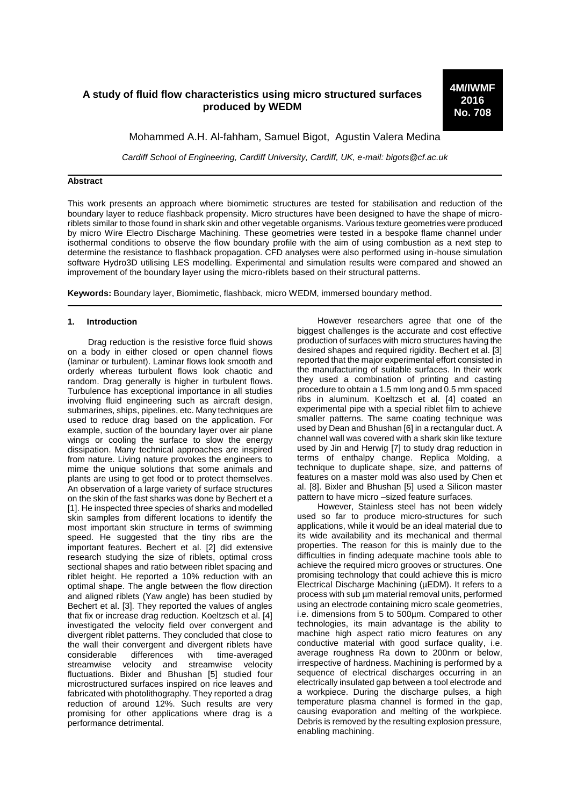# **A study of fluid flow characteristics using micro structured surfaces produced by WEDM**

**4M/IWMF 2016 No. 708**

Mohammed A.H. Al-fahham, Samuel Bigot, Agustin Valera Medina

*Cardiff School of Engineering, Cardiff University, Cardiff, UK, e-mail: bigots@cf.ac.uk*

### **Abstract**

This work presents an approach where biomimetic structures are tested for stabilisation and reduction of the boundary layer to reduce flashback propensity. Micro structures have been designed to have the shape of microriblets similar to those found in shark skin and other vegetable organisms. Various texture geometries were produced by micro Wire Electro Discharge Machining. These geometries were tested in a bespoke flame channel under isothermal conditions to observe the flow boundary profile with the aim of using combustion as a next step to determine the resistance to flashback propagation. CFD analyses were also performed using in-house simulation software Hydro3D utilising LES modelling. Experimental and simulation results were compared and showed an improvement of the boundary layer using the micro-riblets based on their structural patterns.

**Keywords:** Boundary layer, Biomimetic, flashback, micro WEDM, immersed boundary method.

### **1. Introduction**

Drag reduction is the resistive force fluid shows on a body in either closed or open channel flows (laminar or turbulent). Laminar flows look smooth and orderly whereas turbulent flows look chaotic and random. Drag generally is higher in turbulent flows. Turbulence has exceptional importance in all studies involving fluid engineering such as aircraft design, submarines, ships, pipelines, etc. Many techniques are used to reduce drag based on the application. For example, suction of the boundary layer over air plane wings or cooling the surface to slow the energy dissipation. Many technical approaches are inspired from nature. Living nature provokes the engineers to mime the unique solutions that some animals and plants are using to get food or to protect themselves. An observation of a large variety of surface structures on the skin of the fast sharks was done by Bechert et a [1]. He inspected three species of sharks and modelled skin samples from different locations to identify the most important skin structure in terms of swimming speed. He suggested that the tiny ribs are the important features. Bechert et al. [2] did extensive research studying the size of riblets, optimal cross sectional shapes and ratio between riblet spacing and riblet height. He reported a 10% reduction with an optimal shape. The angle between the flow direction and aligned riblets (Yaw angle) has been studied by Bechert et al. [3]. They reported the values of angles that fix or increase drag reduction. Koeltzsch et al. [4] investigated the velocity field over convergent and divergent riblet patterns. They concluded that close to the wall their convergent and divergent riblets have<br>considerable differences with time-averaged considerable differences with time-averaged streamwise velocity and streamwise velocity fluctuations. Bixler and Bhushan [5] studied four microstructured surfaces inspired on rice leaves and fabricated with photolithography. They reported a drag reduction of around 12%. Such results are very promising for other applications where drag is a performance detrimental.

However researchers agree that one of the biggest challenges is the accurate and cost effective production of surfaces with micro structures having the desired shapes and required rigidity. Bechert et al. [3] reported that the major experimental effort consisted in the manufacturing of suitable surfaces. In their work they used a combination of printing and casting procedure to obtain a 1.5 mm long and 0.5 mm spaced ribs in aluminum. Koeltzsch et al. [4] coated an experimental pipe with a special riblet film to achieve smaller patterns. The same coating technique was used by Dean and Bhushan [6] in a rectangular duct. A channel wall was covered with a shark skin like texture used by Jin and Herwig [7] to study drag reduction in terms of enthalpy change. Replica Molding, a technique to duplicate shape, size, and patterns of features on a master mold was also used by Chen et al. [8]. Bixler and Bhushan [5] used a Silicon master pattern to have micro –sized feature surfaces.

However, Stainless steel has not been widely used so far to produce micro-structures for such applications, while it would be an ideal material due to its wide availability and its mechanical and thermal properties. The reason for this is mainly due to the difficulties in finding adequate machine tools able to achieve the required micro grooves or structures. One promising technology that could achieve this is micro Electrical Discharge Machining (µEDM). It refers to a process with sub µm material removal units, performed using an electrode containing micro scale geometries, i.e. dimensions from 5 to 500µm. Compared to other technologies, its main advantage is the ability to machine high aspect ratio micro features on any conductive material with good surface quality, i.e. average roughness Ra down to 200nm or below, irrespective of hardness. Machining is performed by a sequence of electrical discharges occurring in an electrically insulated gap between a tool electrode and a workpiece. During the discharge pulses, a high temperature plasma channel is formed in the gap, causing evaporation and melting of the workpiece. Debris is removed by the resulting explosion pressure, enabling machining.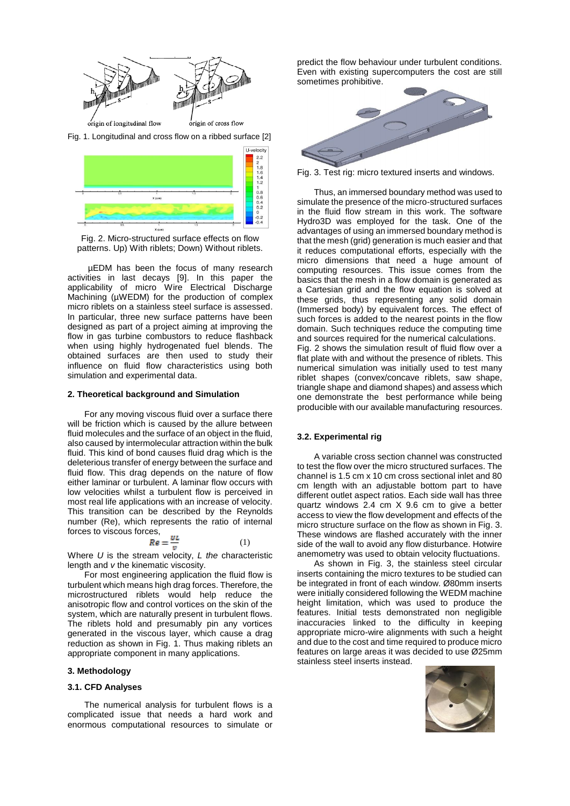

Fig. 1. Longitudinal and cross flow on a ribbed surface [2]



Fig. 2. Micro-structured surface effects on flow patterns. Up) With riblets; Down) Without riblets.

µEDM has been the focus of many research activities in last decays [9]. In this paper the applicability of micro Wire Electrical Discharge Machining (µWEDM) for the production of complex micro riblets on a stainless steel surface is assessed. In particular, three new surface patterns have been designed as part of a project aiming at improving the flow in gas turbine combustors to reduce flashback when using highly hydrogenated fuel blends. The obtained surfaces are then used to study their influence on fluid flow characteristics using both simulation and experimental data.

### **2. Theoretical background and Simulation**

For any moving viscous fluid over a surface there will be friction which is caused by the allure between fluid molecules and the surface of an object in the fluid, also caused by intermolecular attraction within the bulk fluid. This kind of bond causes fluid drag which is the deleterious transfer of energy between the surface and fluid flow. This drag depends on the nature of flow either laminar or turbulent. A laminar flow occurs with low velocities whilst a turbulent flow is perceived in most real life applications with an increase of velocity. This transition can be described by the Reynolds number (Re), which represents the ratio of internal forces to viscous forces,

$$
Re = \frac{UL}{v} \tag{1}
$$

Where *U* is the stream velocity, *L the* characteristic length and *v* the kinematic viscosity.

For most engineering application the fluid flow is turbulent which means high drag forces. Therefore, the microstructured riblets would help reduce the anisotropic flow and control vortices on the skin of the system, which are naturally present in turbulent flows. The riblets hold and presumably pin any vortices generated in the viscous layer, which cause a drag reduction as shown in Fig. 1. Thus making riblets an appropriate component in many applications.

#### **3. Methodology**

### **3.1. CFD Analyses**

The numerical analysis for turbulent flows is a complicated issue that needs a hard work and enormous computational resources to simulate or

predict the flow behaviour under turbulent conditions. Even with existing supercomputers the cost are still sometimes prohibitive.



Fig. 3. Test rig: micro textured inserts and windows.

Thus, an immersed boundary method was used to simulate the presence of the micro-structured surfaces in the fluid flow stream in this work. The software Hydro3D was employed for the task. One of the advantages of using an immersed boundary method is that the mesh (grid) generation is much easier and that it reduces computational efforts, especially with the micro dimensions that need a huge amount of computing resources. This issue comes from the basics that the mesh in a flow domain is generated as a Cartesian grid and the flow equation is solved at these grids, thus representing any solid domain (Immersed body) by equivalent forces. The effect of such forces is added to the nearest points in the flow domain. Such techniques reduce the computing time and sources required for the numerical calculations. Fig. 2 shows the simulation result of fluid flow over a

flat plate with and without the presence of riblets. This numerical simulation was initially used to test many riblet shapes (convex/concave riblets, saw shape, triangle shape and diamond shapes) and assess which one demonstrate the best performance while being producible with our available manufacturing resources.

### **3.2. Experimental rig**

A variable cross section channel was constructed to test the flow over the micro structured surfaces. The channel is 1.5 cm x 10 cm cross sectional inlet and 80 cm length with an adjustable bottom part to have different outlet aspect ratios. Each side wall has three quartz windows 2.4 cm X 9.6 cm to give a better access to view the flow development and effects of the micro structure surface on the flow as shown in Fig. 3. These windows are flashed accurately with the inner side of the wall to avoid any flow disturbance. Hotwire anemometry was used to obtain velocity fluctuations.

As shown in Fig. 3, the stainless steel circular inserts containing the micro textures to be studied can be integrated in front of each window. Ø80mm inserts were initially considered following the WEDM machine height limitation, which was used to produce the features. Initial tests demonstrated non negligible inaccuracies linked to the difficulty in keeping appropriate micro-wire alignments with such a height and due to the cost and time required to produce micro features on large areas it was decided to use Ø25mm stainless steel inserts instead.

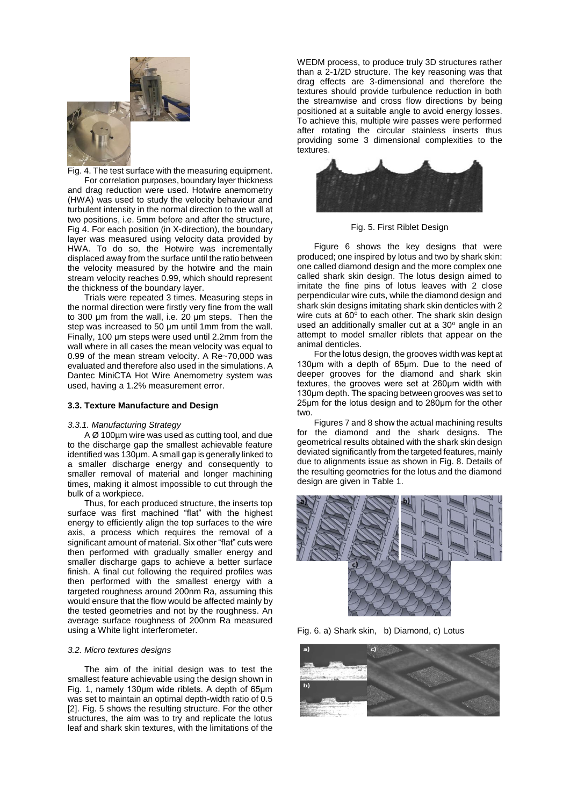

Fig. 4. The test surface with the measuring equipment. For correlation purposes, boundary layer thickness and drag reduction were used. Hotwire anemometry (HWA) was used to study the velocity behaviour and turbulent intensity in the normal direction to the wall at two positions, i.e. 5mm before and after the structure, Fig 4. For each position (in X-direction), the boundary layer was measured using velocity data provided by HWA. To do so, the Hotwire was incrementally displaced away from the surface until the ratio between the velocity measured by the hotwire and the main stream velocity reaches 0.99, which should represent the thickness of the boundary layer.

Trials were repeated 3 times. Measuring steps in the normal direction were firstly very fine from the wall to 300 μm from the wall, i.e. 20 μm steps. Then the step was increased to 50 μm until 1mm from the wall. Finally, 100 μm steps were used until 2.2mm from the wall where in all cases the mean velocity was equal to 0.99 of the mean stream velocity. A Re~70,000 was evaluated and therefore also used in the simulations. A Dantec MiniCTA Hot Wire Anemometry system was used, having a 1.2% measurement error.

### **3.3. Texture Manufacture and Design**

## *3.3.1. Manufacturing Strategy*

A Ø 100µm wire was used as cutting tool, and due to the discharge gap the smallest achievable feature identified was 130µm. A small gap is generally linked to a smaller discharge energy and consequently to smaller removal of material and longer machining times, making it almost impossible to cut through the bulk of a workpiece.

Thus, for each produced structure, the inserts top surface was first machined "flat" with the highest energy to efficiently align the top surfaces to the wire axis, a process which requires the removal of a significant amount of material. Six other "flat" cuts were then performed with gradually smaller energy and smaller discharge gaps to achieve a better surface finish. A final cut following the required profiles was then performed with the smallest energy with a targeted roughness around 200nm Ra, assuming this would ensure that the flow would be affected mainly by the tested geometries and not by the roughness. An average surface roughness of 200nm Ra measured using a White light interferometer.

### *3.2. Micro textures designs*

The aim of the initial design was to test the smallest feature achievable using the design shown in Fig. 1, namely 130μm wide riblets. A depth of 65μm was set to maintain an optimal depth-width ratio of 0.5 [2]. Fig. 5 shows the resulting structure. For the other structures, the aim was to try and replicate the lotus leaf and shark skin textures, with the limitations of the

WEDM process, to produce truly 3D structures rather than a 2-1/2D structure. The key reasoning was that drag effects are 3-dimensional and therefore the textures should provide turbulence reduction in both the streamwise and cross flow directions by being positioned at a suitable angle to avoid energy losses. To achieve this, multiple wire passes were performed after rotating the circular stainless inserts thus providing some 3 dimensional complexities to the textures.



Fig. 5. First Riblet Design

Figure 6 shows the key designs that were produced; one inspired by lotus and two by shark skin: one called diamond design and the more complex one called shark skin design. The lotus design aimed to imitate the fine pins of lotus leaves with 2 close perpendicular wire cuts, while the diamond design and shark skin designs imitating shark skin denticles with 2 wire cuts at 60° to each other. The shark skin design used an additionally smaller cut at a 30° angle in an attempt to model smaller riblets that appear on the animal denticles.

For the lotus design, the grooves width was kept at 130μm with a depth of 65μm. Due to the need of deeper grooves for the diamond and shark skin textures, the grooves were set at 260μm width with 130μm depth. The spacing between grooves was set to 25μm for the lotus design and to 280μm for the other two.

Figures 7 and 8 show the actual machining results for the diamond and the shark designs. The geometrical results obtained with the shark skin design deviated significantly from the targeted features, mainly due to alignments issue as shown in Fig. 8. Details of the resulting geometries for the lotus and the diamond design are given in Table 1.



Fig. 6. a) Shark skin, b) Diamond, c) Lotus

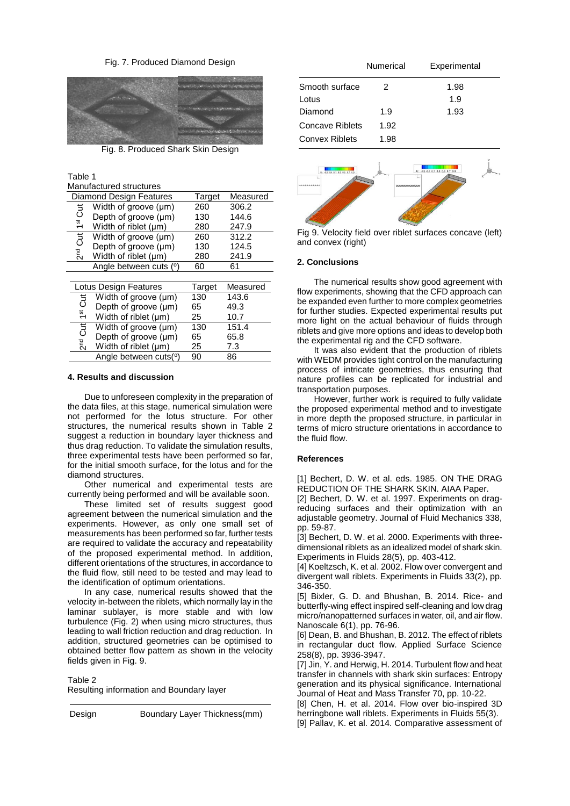### Fig. 7. Produced Diamond Design



Fig. 8. Produced Shark Skin Design

Table 1 Manufactured structures

| Diamond Design Features                     | Target | Measured |
|---------------------------------------------|--------|----------|
| Width of groove (µm)                        | 260    | 306.2    |
| $1^{\rm st}$ Cut<br>Depth of groove (µm)    | 130    | 144.6    |
| Width of riblet (µm)                        | 280    | 247.9    |
| 2 <sup>nd</sup> Cut<br>Width of groove (µm) | 260    | 312.2    |
| Depth of groove (µm)                        | 130    | 124.5    |
| Width of riblet $(\mu m)$                   | 280    | 241.9    |
| Angle between cuts (°)                      | 60     | 61       |
|                                             |        |          |
| Lotus Design Features                       | Target | Measured |
| Width of groove (µm)                        | 130    | 143.6    |
| 1 <sup>st</sup> Cut<br>Depth of groove (µm) | 65     | 49.3     |
| Width of riblet (µm)                        | 25     | 10.7     |
| 2 <sup>nd</sup> Cut<br>Width of groove (µm) | 130    | 151.4    |
| Depth of groove (µm)                        | 65     | 65.8     |
| Width of riblet $(\mu m)$                   |        |          |
|                                             | 25     | 7.3      |

### **4. Results and discussion**

Due to unforeseen complexity in the preparation of the data files, at this stage, numerical simulation were not performed for the lotus structure. For other structures, the numerical results shown in Table 2 suggest a reduction in boundary layer thickness and thus drag reduction. To validate the simulation results, three experimental tests have been performed so far, for the initial smooth surface, for the lotus and for the diamond structures.

Other numerical and experimental tests are currently being performed and will be available soon.

These limited set of results suggest good agreement between the numerical simulation and the experiments. However, as only one small set of measurements has been performed so far, further tests are required to validate the accuracy and repeatability of the proposed experimental method. In addition, different orientations of the structures, in accordance to the fluid flow, still need to be tested and may lead to the identification of optimum orientations.

In any case, numerical results showed that the velocity in-between the riblets, which normally lay in the laminar sublayer, is more stable and with low turbulence (Fig. 2) when using micro structures, thus leading to wall friction reduction and drag reduction. In addition, structured geometries can be optimised to obtained better flow pattern as shown in the velocity fields given in Fig. 9.

### Table 2

Resulting information and Boundary layer

Design Boundary Layer Thickness(mm)

|                 | Numerical | Experimental |
|-----------------|-----------|--------------|
| Smooth surface  | 2         | 1.98         |
| Lotus           |           | 1.9          |
| Diamond         | 1.9       | 1.93         |
| Concave Riblets | 1.92      |              |
| Convex Riblets  | 1.98      |              |



Fig 9. Velocity field over riblet surfaces concave (left) and convex (right)

### **2. Conclusions**

The numerical results show good agreement with flow experiments, showing that the CFD approach can be expanded even further to more complex geometries for further studies. Expected experimental results put more light on the actual behaviour of fluids through riblets and give more options and ideas to develop both the experimental rig and the CFD software.

It was also evident that the production of riblets with WEDM provides tight control on the manufacturing process of intricate geometries, thus ensuring that nature profiles can be replicated for industrial and transportation purposes.

However, further work is required to fully validate the proposed experimental method and to investigate in more depth the proposed structure, in particular in terms of micro structure orientations in accordance to the fluid flow.

### **References**

[1] Bechert, D. W. et al. eds. 1985. ON THE DRAG REDUCTION OF THE SHARK SKIN. AIAA Paper.

[2] Bechert, D. W. et al. 1997. Experiments on dragreducing surfaces and their optimization with an adjustable geometry. Journal of Fluid Mechanics 338, pp. 59-87.

[3] Bechert, D. W. et al. 2000. Experiments with threedimensional riblets as an idealized model of shark skin. Experiments in Fluids 28(5), pp. 403-412.

[4] Koeltzsch, K. et al. 2002. Flow over convergent and divergent wall riblets. Experiments in Fluids 33(2), pp. 346-350.

[5] Bixler, G. D. and Bhushan, B. 2014. Rice- and butterfly-wing effect inspired self-cleaning and low drag micro/nanopatterned surfaces in water, oil, and air flow. Nanoscale 6(1), pp. 76-96.

[6] Dean, B. and Bhushan, B. 2012. The effect of riblets in rectangular duct flow. Applied Surface Science 258(8), pp. 3936-3947.

[7] Jin, Y. and Herwig, H. 2014. Turbulent flow and heat transfer in channels with shark skin surfaces: Entropy generation and its physical significance. International Journal of Heat and Mass Transfer 70, pp. 10-22.

[8] Chen, H. et al. 2014. Flow over bio-inspired 3D herringbone wall riblets. Experiments in Fluids 55(3).

[9] Pallav, K. et al. 2014. Comparative assessment of